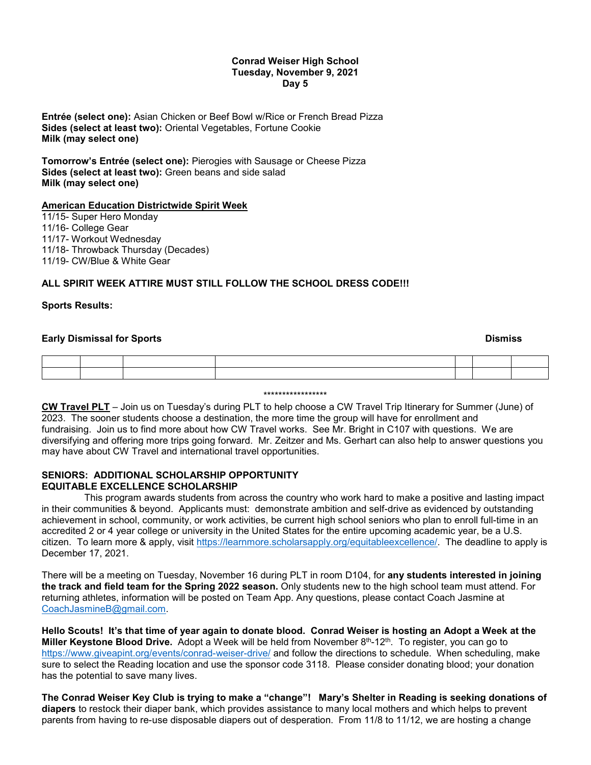#### **Conrad Weiser High School Tuesday, November 9, 2021 Day 5**

**Entrée (select one):** Asian Chicken or Beef Bowl w/Rice or French Bread Pizza **Sides (select at least two):** Oriental Vegetables, Fortune Cookie **Milk (may select one)**

**Tomorrow's Entrée (select one):** Pierogies with Sausage or Cheese Pizza **Sides (select at least two):** Green beans and side salad **Milk (may select one)**

### **American Education Districtwide Spirit Week**

11/15- Super Hero Monday 11/16- College Gear 11/17- Workout Wednesday 11/18- Throwback Thursday (Decades) 11/19- CW/Blue & White Gear

### **ALL SPIRIT WEEK ATTIRE MUST STILL FOLLOW THE SCHOOL DRESS CODE!!!**

#### **Sports Results:**

#### **Early Dismissal for Sports And Science And Science And Science And Science And Science And Science And Science A**

\*\*\*\*\*\*\*\*\*\*\*\*\*\*\*\*\*

**CW Travel PLT** – Join us on Tuesday's during PLT to help choose a CW Travel Trip Itinerary for Summer (June) of 2023. The sooner students choose a destination, the more time the group will have for enrollment and fundraising. Join us to find more about how CW Travel works. See Mr. Bright in C107 with questions. We are diversifying and offering more trips going forward. Mr. Zeitzer and Ms. Gerhart can also help to answer questions you may have about CW Travel and international travel opportunities.

### **SENIORS: ADDITIONAL SCHOLARSHIP OPPORTUNITY EQUITABLE EXCELLENCE SCHOLARSHIP**

 This program awards students from across the country who work hard to make a positive and lasting impact in their communities & beyond. Applicants must: demonstrate ambition and self-drive as evidenced by outstanding achievement in school, community, or work activities, be current high school seniors who plan to enroll full-time in an accredited 2 or 4 year college or university in the United States for the entire upcoming academic year, be a U.S. citizen. To learn more & apply, visit [https://learnmore.scholarsapply.org/equitableexcellence/.](https://learnmore.scholarsapply.org/equitableexcellence/) The deadline to apply is December 17, 2021.

There will be a meeting on Tuesday, November 16 during PLT in room D104, for **any students interested in joining the track and field team for the Spring 2022 season.** Only students new to the high school team must attend. For returning athletes, information will be posted on Team App. Any questions, please contact Coach Jasmine at [CoachJasmineB@gmail.com.](mailto:CoachJasmineB@gmail.com)

**Hello Scouts! It's that time of year again to donate blood. Conrad Weiser is hosting an Adopt a Week at the Miller Keystone Blood Drive.** Adopt a Week will be held from November 8<sup>th</sup>-12<sup>th</sup>. To register, you can go to <https://www.giveapint.org/events/conrad-weiser-drive/> and follow the directions to schedule. When scheduling, make sure to select the Reading location and use the sponsor code 3118. Please consider donating blood; your donation has the potential to save many lives.

**The Conrad Weiser Key Club is trying to make a "change"! Mary's Shelter in Reading is seeking donations of diapers** to restock their diaper bank, which provides assistance to many local mothers and which helps to prevent parents from having to re-use disposable diapers out of desperation. From 11/8 to 11/12, we are hosting a change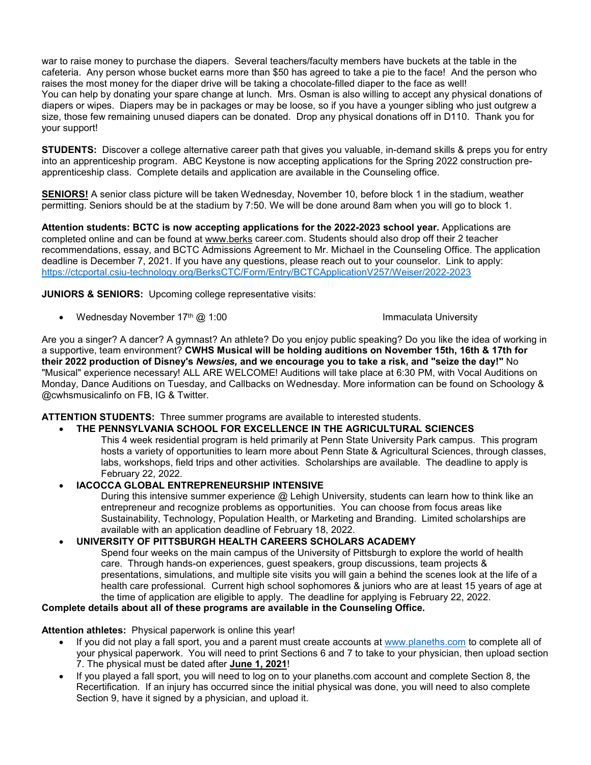war to raise money to purchase the diapers. Several teachers/faculty members have buckets at the table in the cafeteria. Any person whose bucket earns more than \$50 has agreed to take a pie to the face! And the person who raises the most money for the diaper drive will be taking a chocolate-filled diaper to the face as well! You can help by donating your spare change at lunch. Mrs. Osman is also willing to accept any physical donations of diapers or wipes. Diapers may be in packages or may be loose, so if you have a younger sibling who just outgrew a size, those few remaining unused diapers can be donated. Drop any physical donations off in D110. Thank you for your support!

**STUDENTS:** Discover a college alternative career path that gives you valuable, in-demand skills & preps you for entry into an apprenticeship program. ABC Keystone is now accepting applications for the Spring 2022 construction preapprenticeship class. Complete details and application are available in the Counseling office.

**SENIORS!** A senior class picture will be taken Wednesday, November 10, before block 1 in the stadium, weather permitting. Seniors should be at the stadium by 7:50. We will be done around 8am when you will go to block 1.

**Attention students: BCTC is now accepting applications for the 2022-2023 school year.** Applications are completed online and can be found at [www.berks](http://www.berks/) career.com. Students should also drop off their 2 teacher recommendations, essay, and BCTC Admissions Agreement to Mr. Michael in the Counseling Office. The application deadline is December 7, 2021. If you have any questions, please reach out to your counselor. Link to apply: <https://ctcportal.csiu-technology.org/BerksCTC/Form/Entry/BCTCApplicationV257/Weiser/2022-2023>

**JUNIORS & SENIORS:** Upcoming college representative visits:

• Wednesday November 17<sup>th</sup> @ 1:00 Immaculata University

Are you a singer? A dancer? A gymnast? An athlete? Do you enjoy public speaking? Do you like the idea of working in a supportive, team environment? **CWHS Musical will be holding auditions on November 15th, 16th & 17th for their 2022 production of Disney's** *Newsies,* **and we encourage you to take a risk, and "seize the day!"** No "Musical" experience necessary! ALL ARE WELCOME! Auditions will take place at 6:30 PM, with Vocal Auditions on Monday, Dance Auditions on Tuesday, and Callbacks on Wednesday. More information can be found on Schoology & @cwhsmusicalinfo on FB, IG & Twitter.

**ATTENTION STUDENTS:** Three summer programs are available to interested students.

# • **THE PENNSYLVANIA SCHOOL FOR EXCELLENCE IN THE AGRICULTURAL SCIENCES**

This 4 week residential program is held primarily at Penn State University Park campus. This program hosts a variety of opportunities to learn more about Penn State & Agricultural Sciences, through classes, labs, workshops, field trips and other activities. Scholarships are available. The deadline to apply is February 22, 2022.

# • **IACOCCA GLOBAL ENTREPRENEURSHIP INTENSIVE**

During this intensive summer experience @ Lehigh University, students can learn how to think like an entrepreneur and recognize problems as opportunities. You can choose from focus areas like Sustainability, Technology, Population Health, or Marketing and Branding. Limited scholarships are available with an application deadline of February 18, 2022.

# • **UNIVERSITY OF PITTSBURGH HEALTH CAREERS SCHOLARS ACADEMY**

Spend four weeks on the main campus of the University of Pittsburgh to explore the world of health care. Through hands-on experiences, guest speakers, group discussions, team projects & presentations, simulations, and multiple site visits you will gain a behind the scenes look at the life of a health care professional. Current high school sophomores & juniors who are at least 15 years of age at the time of application are eligible to apply. The deadline for applying is February 22, 2022.

### **Complete details about all of these programs are available in the Counseling Office.**

**Attention athletes:** Physical paperwork is online this year!

- If you did not play a fall sport, you and a parent must create accounts at [www.planeths.com](http://www.planeths.com/) to complete all of your physical paperwork. You will need to print Sections 6 and 7 to take to your physician, then upload section 7. The physical must be dated after **June 1, 2021**!
- If you played a fall sport, you will need to log on to your planeths.com account and complete Section 8, the Recertification. If an injury has occurred since the initial physical was done, you will need to also complete Section 9, have it signed by a physician, and upload it.